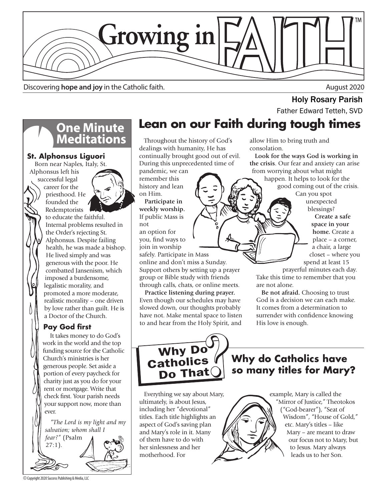

Discovering **hope and joy** in the Catholic faith. August 2020

# **Holy Rosary Parish**<br>Father Edward Tetteh, SVD

# **One Minute<br>Meditations**

### **St. Alphonsus Liguori**

Born near Naples, Italy, St. Alphonsus left his successful legal

career for the priesthood. He founded the Redemptorists to educate the faithful. Internal problems resulted in the Order's rejecting St. Alphonsus. Despite failing health, he was made a bishop. He lived simply and was generous with the poor. He combatted Jansenism, which imposed a burdensome, legalistic morality, and promoted a more moderate, realistic morality – one driven by love rather than guilt. He is a Doctor of the Church.

### **Pay God first**

It takes money to do God's work in the world and the top funding source for the Catholic Church's ministries is her generous people. Set aside a portion of every paycheck for charity just as you do for your rent or mortgage. Write that check first. Your parish needs your support now, more than ever.

 *"The Lord is my light and my salvation; whom shall I fear?"* (Psalm  $27:1$ ).

# **Lean on our Faith during tough times**

 Throughout the history of God's dealings with humanity, He has continually brought good out of evil. During this unprecedented time of

pandemic, we can remember this history and lean on Him.

 **Participate in weekly worship.** If public Mass is not

an option for you, find ways to join in worship

safely. Participate in Mass online and don't miss a Sunday. Support others by setting up a prayer group or Bible study with friends through calls, chats, or online meets.

 **Practice listening during prayer.** Even though our schedules may have slowed down, our thoughts probably have not. Make mental space to listen to and hear from the Holy Spirit, and allow Him to bring truth and consolation.

 **Look for the ways God is working in the crisis**. Our fear and anxiety can arise from worrying about what might

happen. It helps to look for the good coming out of the crisis.

Can you spot unexpected blessings?

 **Create a safe space in your home.** Create a place – a corner, a chair, a large closet – where you spend at least 15

prayerful minutes each day. Take this time to remember that you are not alone.

 **Be not afraid.** Choosing to trust God is a decision we can each make. It comes from a determination to surrender with confidence knowing His love is enough.



**Why do Catholics have so many titles for Mary?**

 Everything we say about Mary, ultimately, is about Jesus, including her "devotional" titles. Each title highlights an aspect of God's saving plan and Mary's role in it. Many of them have to do with her sinlessness and her motherhood. For



© Copyright 2020 Success Publishing & Media, LLC